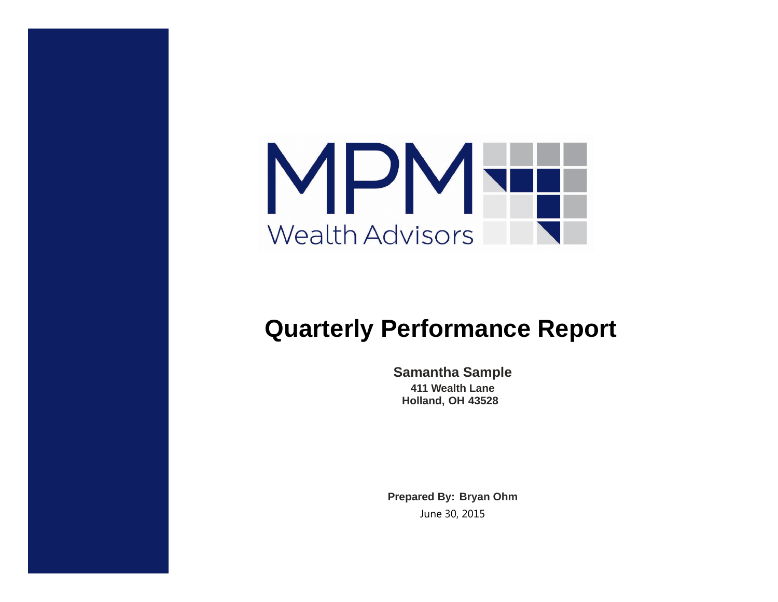

# **Quarterly Performance Report**

**Samantha Sample 411 Wealth Lane Holland, OH 43528**

**Prepared By: Bryan Ohm** June 30, 2015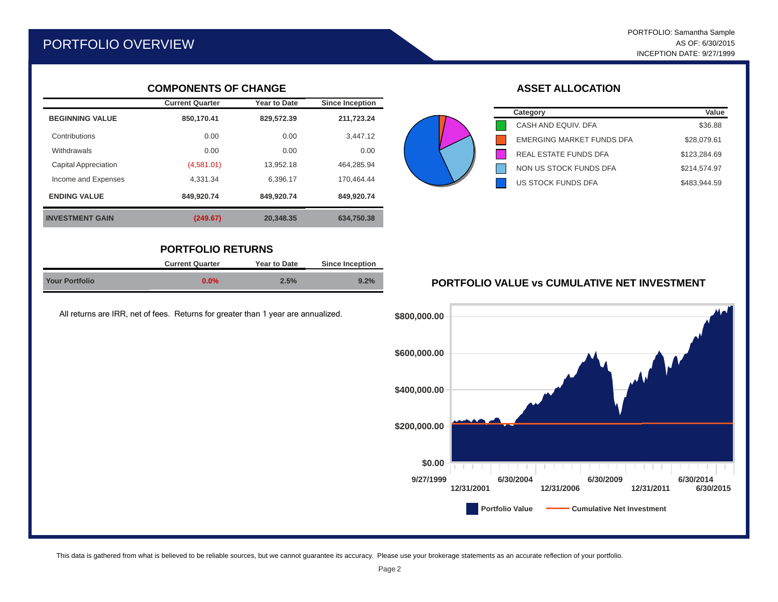# PORTFOLIO OVERVIEW

#### **COMPONENTS OF CHANGE**

|                             | <b>Current Quarter</b> | <b>Year to Date</b> | <b>Since Inception</b> |
|-----------------------------|------------------------|---------------------|------------------------|
| <b>BEGINNING VALUE</b>      | 850.170.41             | 829,572.39          | 211,723.24             |
| Contributions               | 0.00                   | 0.00                | 3.447.12               |
| Withdrawals                 | 0.00                   | 0.00                | 0.00                   |
| <b>Capital Appreciation</b> | (4,581.01)             | 13.952.18           | 464.285.94             |
| Income and Expenses         | 4.331.34               | 6.396.17            | 170.464.44             |
| <b>ENDING VALUE</b>         | 849.920.74             | 849.920.74          | 849.920.74             |
| <b>INVESTMENT GAIN</b>      | (249.67)               | 20.348.35           | 634.750.38             |

### **PORTFOLIO RETURNS**

|                       | <b>Current Quarter</b> | <b>Year to Date</b> | <b>Since Inception</b> |  |
|-----------------------|------------------------|---------------------|------------------------|--|
| <b>Your Portfolio</b> | $0.0\%$                | 2.5%                | 9.2%                   |  |

All returns are IRR, net of fees. Returns for greater than 1 year are annualized.

## **ASSET ALLOCATION**

| Category                         | Value        |
|----------------------------------|--------------|
| CASH AND EQUIV. DFA              | \$36.88      |
| <b>EMERGING MARKET FUNDS DFA</b> | \$28,079.61  |
| <b>REAL ESTATE FUNDS DFA</b>     | \$123,284.69 |
| NON US STOCK FUNDS DFA           | \$214.574.97 |
| <b>US STOCK FUNDS DFA</b>        | \$483.944.59 |



#### **PORTFOLIO VALUE vs CUMULATIVE NET INVESTMENT**

This data is gathered from what is believed to be reliable sources, but we cannot guarantee its accuracy. Please use your brokerage statements as an accurate reflection of your portfolio.